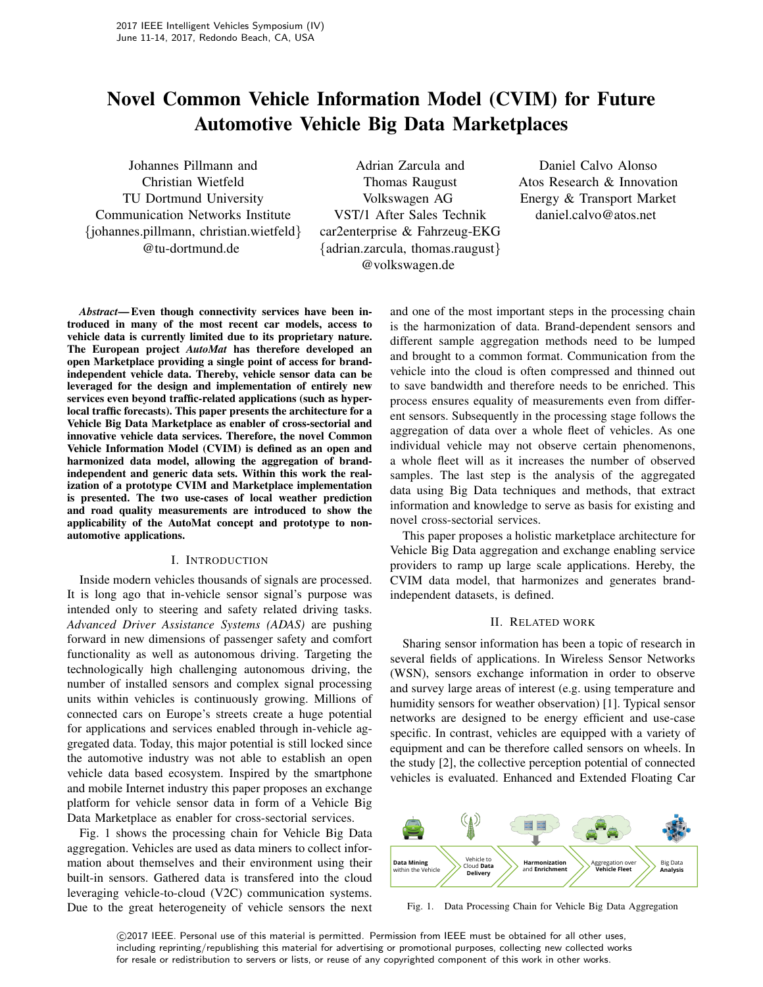# Novel Common Vehicle Information Model (CVIM) for Future Automotive Vehicle Big Data Marketplaces

Johannes Pillmann and Christian Wietfeld TU Dortmund University Communication Networks Institute {johannes.pillmann, christian.wietfeld} @tu-dortmund.de

Adrian Zarcula and Thomas Raugust Volkswagen AG VST/1 After Sales Technik car2enterprise & Fahrzeug-EKG {adrian.zarcula, thomas.raugust} @volkswagen.de

Daniel Calvo Alonso Atos Research & Innovation Energy & Transport Market daniel.calvo@atos.net

*Abstract*— Even though connectivity services have been introduced in many of the most recent car models, access to vehicle data is currently limited due to its proprietary nature. The European project *AutoMat* has therefore developed an open Marketplace providing a single point of access for brandindependent vehicle data. Thereby, vehicle sensor data can be leveraged for the design and implementation of entirely new services even beyond traffic-related applications (such as hyperlocal traffic forecasts). This paper presents the architecture for a Vehicle Big Data Marketplace as enabler of cross-sectorial and innovative vehicle data services. Therefore, the novel Common Vehicle Information Model (CVIM) is defined as an open and harmonized data model, allowing the aggregation of brandindependent and generic data sets. Within this work the realization of a prototype CVIM and Marketplace implementation is presented. The two use-cases of local weather prediction and road quality measurements are introduced to show the applicability of the AutoMat concept and prototype to nonautomotive applications.

#### I. INTRODUCTION

Inside modern vehicles thousands of signals are processed. It is long ago that in-vehicle sensor signal's purpose was intended only to steering and safety related driving tasks. *Advanced Driver Assistance Systems (ADAS)* are pushing forward in new dimensions of passenger safety and comfort functionality as well as autonomous driving. Targeting the technologically high challenging autonomous driving, the number of installed sensors and complex signal processing units within vehicles is continuously growing. Millions of connected cars on Europe's streets create a huge potential for applications and services enabled through in-vehicle aggregated data. Today, this major potential is still locked since the automotive industry was not able to establish an open vehicle data based ecosystem. Inspired by the smartphone and mobile Internet industry this paper proposes an exchange platform for vehicle sensor data in form of a Vehicle Big Data Marketplace as enabler for cross-sectorial services.

Fig. 1 shows the processing chain for Vehicle Big Data aggregation. Vehicles are used as data miners to collect information about themselves and their environment using their built-in sensors. Gathered data is transfered into the cloud leveraging vehicle-to-cloud (V2C) communication systems. Due to the great heterogeneity of vehicle sensors the next and one of the most important steps in the processing chain is the harmonization of data. Brand-dependent sensors and different sample aggregation methods need to be lumped and brought to a common format. Communication from the vehicle into the cloud is often compressed and thinned out to save bandwidth and therefore needs to be enriched. This process ensures equality of measurements even from different sensors. Subsequently in the processing stage follows the aggregation of data over a whole fleet of vehicles. As one individual vehicle may not observe certain phenomenons, a whole fleet will as it increases the number of observed samples. The last step is the analysis of the aggregated data using Big Data techniques and methods, that extract information and knowledge to serve as basis for existing and novel cross-sectorial services.

This paper proposes a holistic marketplace architecture for Vehicle Big Data aggregation and exchange enabling service providers to ramp up large scale applications. Hereby, the CVIM data model, that harmonizes and generates brandindependent datasets, is defined.

#### II. RELATED WORK

Sharing sensor information has been a topic of research in several fields of applications. In Wireless Sensor Networks (WSN), sensors exchange information in order to observe and survey large areas of interest (e.g. using temperature and humidity sensors for weather observation) [1]. Typical sensor networks are designed to be energy efficient and use-case specific. In contrast, vehicles are equipped with a variety of equipment and can be therefore called sensors on wheels. In the study [2], the collective perception potential of connected vehicles is evaluated. Enhanced and Extended Floating Car



Fig. 1. Data Processing Chain for Vehicle Big Data Aggregation

 c 2017 IEEE. Personal use of this material is permitted. Permission from IEEE must be obtained for all other uses, including reprinting/republishing this material for advertising or promotional purposes, collecting new collected works for resale or redistribution to servers or lists, or reuse of any copyrighted component of this work in other works.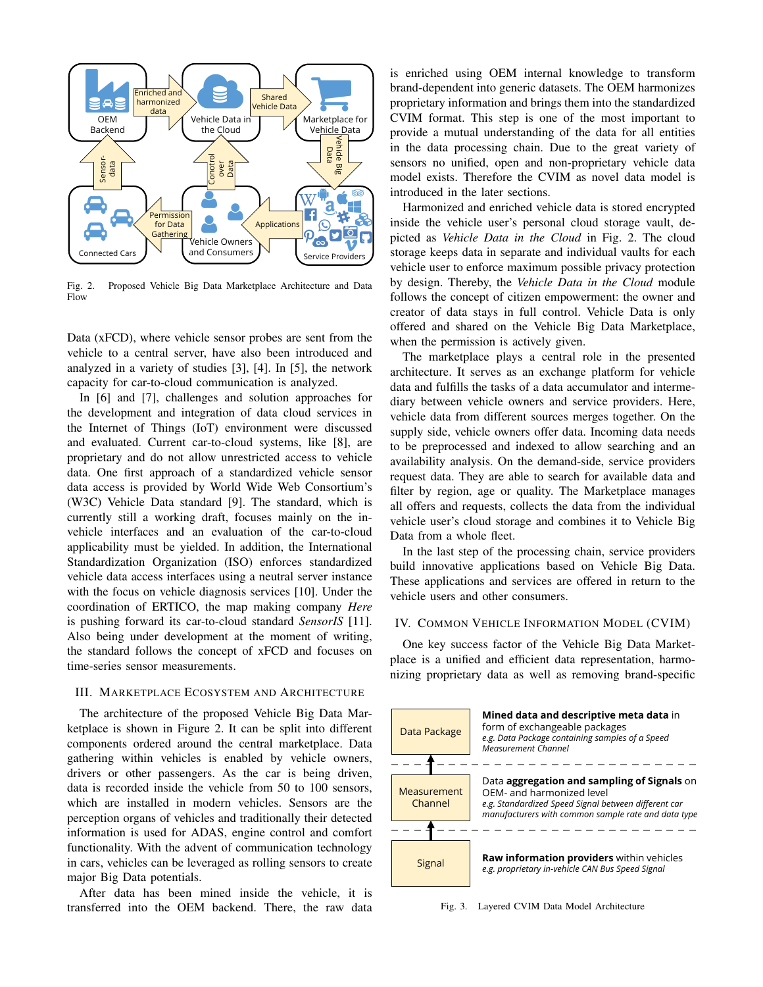

Fig. 2. Proposed Vehicle Big Data Marketplace Architecture and Data Flow

Data (xFCD), where vehicle sensor probes are sent from the vehicle to a central server, have also been introduced and analyzed in a variety of studies  $[3]$ ,  $[4]$ . In  $[5]$ , the network capacity for car-to-cloud communication is analyzed.

In [6] and [7], challenges and solution approaches for the development and integration of data cloud services in the Internet of Things (IoT) environment were discussed and evaluated. Current car-to-cloud systems, like [8], are proprietary and do not allow unrestricted access to vehicle data. One first approach of a standardized vehicle sensor data access is provided by World Wide Web Consortium's (W3C) Vehicle Data standard [9]. The standard, which is currently still a working draft, focuses mainly on the invehicle interfaces and an evaluation of the car-to-cloud applicability must be yielded. In addition, the International Standardization Organization (ISO) enforces standardized vehicle data access interfaces using a neutral server instance with the focus on vehicle diagnosis services [10]. Under the coordination of ERTICO, the map making company Here is pushing forward its car-to-cloud standard SensorIS [11]. Also being under development at the moment of writing, the standard follows the concept of xFCD and focuses on time-series sensor measurements.

# **III. MARKETPLACE ECOSYSTEM AND ARCHITECTURE**

The architecture of the proposed Vehicle Big Data Marketplace is shown in Figure 2. It can be split into different components ordered around the central marketplace. Data gathering within vehicles is enabled by vehicle owners, drivers or other passengers. As the car is being driven, data is recorded inside the vehicle from 50 to 100 sensors, which are installed in modern vehicles. Sensors are the perception organs of vehicles and traditionally their detected information is used for ADAS, engine control and comfort functionality. With the advent of communication technology in cars, vehicles can be leveraged as rolling sensors to create major Big Data potentials.

After data has been mined inside the vehicle, it is transferred into the OEM backend. There, the raw data is enriched using OEM internal knowledge to transform brand-dependent into generic datasets. The OEM harmonizes proprietary information and brings them into the standardized CVIM format. This step is one of the most important to provide a mutual understanding of the data for all entities in the data processing chain. Due to the great variety of sensors no unified, open and non-proprietary vehicle data model exists. Therefore the CVIM as novel data model is introduced in the later sections.

Harmonized and enriched vehicle data is stored encrypted inside the vehicle user's personal cloud storage vault, depicted as Vehicle Data in the Cloud in Fig. 2. The cloud storage keeps data in separate and individual vaults for each vehicle user to enforce maximum possible privacy protection by design. Thereby, the Vehicle Data in the Cloud module follows the concept of citizen empowerment: the owner and creator of data stays in full control. Vehicle Data is only offered and shared on the Vehicle Big Data Marketplace, when the permission is actively given.

The marketplace plays a central role in the presented architecture. It serves as an exchange platform for vehicle data and fulfills the tasks of a data accumulator and intermediary between vehicle owners and service providers. Here, vehicle data from different sources merges together. On the supply side, vehicle owners offer data. Incoming data needs to be preprocessed and indexed to allow searching and an availability analysis. On the demand-side, service providers request data. They are able to search for available data and filter by region, age or quality. The Marketplace manages all offers and requests, collects the data from the individual vehicle user's cloud storage and combines it to Vehicle Big Data from a whole fleet.

In the last step of the processing chain, service providers build innovative applications based on Vehicle Big Data. These applications and services are offered in return to the vehicle users and other consumers.

#### IV. COMMON VEHICLE INFORMATION MODEL (CVIM)

One key success factor of the Vehicle Big Data Marketplace is a unified and efficient data representation, harmonizing proprietary data as well as removing brand-specific



Fig. 3. Layered CVIM Data Model Architecture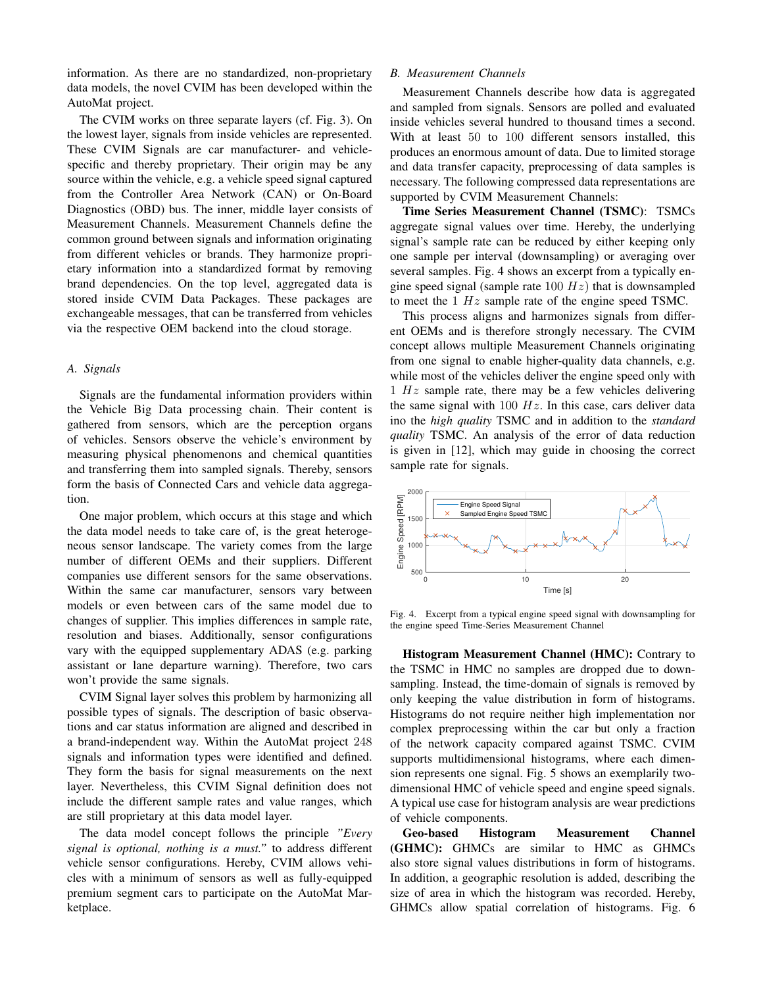information. As there are no standardized, non-proprietary data models, the novel CVIM has been developed within the AutoMat project.

The CVIM works on three separate layers (cf. Fig. 3). On the lowest layer, signals from inside vehicles are represented. These CVIM Signals are car manufacturer- and vehiclespecific and thereby proprietary. Their origin may be any source within the vehicle, e.g. a vehicle speed signal captured from the Controller Area Network (CAN) or On-Board Diagnostics (OBD) bus. The inner, middle layer consists of Measurement Channels. Measurement Channels define the common ground between signals and information originating from different vehicles or brands. They harmonize proprietary information into a standardized format by removing brand dependencies. On the top level, aggregated data is stored inside CVIM Data Packages. These packages are exchangeable messages, that can be transferred from vehicles via the respective OEM backend into the cloud storage.

# A. Signals

Signals are the fundamental information providers within the Vehicle Big Data processing chain. Their content is gathered from sensors, which are the perception organs of vehicles. Sensors observe the vehicle's environment by measuring physical phenomenons and chemical quantities and transferring them into sampled signals. Thereby, sensors form the basis of Connected Cars and vehicle data aggregation.

One major problem, which occurs at this stage and which the data model needs to take care of, is the great heterogeneous sensor landscape. The variety comes from the large number of different OEMs and their suppliers. Different companies use different sensors for the same observations. Within the same car manufacturer, sensors vary between models or even between cars of the same model due to changes of supplier. This implies differences in sample rate, resolution and biases. Additionally, sensor configurations vary with the equipped supplementary ADAS (e.g. parking assistant or lane departure warning). Therefore, two cars won't provide the same signals.

CVIM Signal layer solves this problem by harmonizing all possible types of signals. The description of basic observations and car status information are aligned and described in a brand-independent way. Within the AutoMat project 248 signals and information types were identified and defined. They form the basis for signal measurements on the next layer. Nevertheless, this CVIM Signal definition does not include the different sample rates and value ranges, which are still proprietary at this data model layer.

The data model concept follows the principle "Every" signal is optional, nothing is a must." to address different vehicle sensor configurations. Hereby, CVIM allows vehicles with a minimum of sensors as well as fully-equipped premium segment cars to participate on the AutoMat Marketplace.

## **B.** Measurement Channels

Measurement Channels describe how data is aggregated and sampled from signals. Sensors are polled and evaluated inside vehicles several hundred to thousand times a second. With at least 50 to 100 different sensors installed, this produces an enormous amount of data. Due to limited storage and data transfer capacity, preprocessing of data samples is necessary. The following compressed data representations are supported by CVIM Measurement Channels:

Time Series Measurement Channel (TSMC): TSMCs aggregate signal values over time. Hereby, the underlying signal's sample rate can be reduced by either keeping only one sample per interval (downsampling) or averaging over several samples. Fig. 4 shows an excerpt from a typically engine speed signal (sample rate 100  $Hz$ ) that is downsampled to meet the  $1 Hz$  sample rate of the engine speed TSMC.

This process aligns and harmonizes signals from different OEMs and is therefore strongly necessary. The CVIM concept allows multiple Measurement Channels originating from one signal to enable higher-quality data channels, e.g. while most of the vehicles deliver the engine speed only with 1  $Hz$  sample rate, there may be a few vehicles delivering the same signal with  $100 Hz$ . In this case, cars deliver data ino the *high quality* TSMC and in addition to the *standard* quality TSMC. An analysis of the error of data reduction is given in [12], which may guide in choosing the correct sample rate for signals.



Fig. 4. Excerpt from a typical engine speed signal with downsampling for the engine speed Time-Series Measurement Channel

Histogram Measurement Channel (HMC): Contrary to the TSMC in HMC no samples are dropped due to downsampling. Instead, the time-domain of signals is removed by only keeping the value distribution in form of histograms. Histograms do not require neither high implementation nor complex preprocessing within the car but only a fraction of the network capacity compared against TSMC. CVIM supports multidimensional histograms, where each dimension represents one signal. Fig. 5 shows an exemplarily twodimensional HMC of vehicle speed and engine speed signals. A typical use case for histogram analysis are wear predictions of vehicle components.

**Geo-based Histogram Measurement Channel** (GHMC): GHMCs are similar to HMC as GHMCs also store signal values distributions in form of histograms. In addition, a geographic resolution is added, describing the size of area in which the histogram was recorded. Hereby, GHMCs allow spatial correlation of histograms. Fig. 6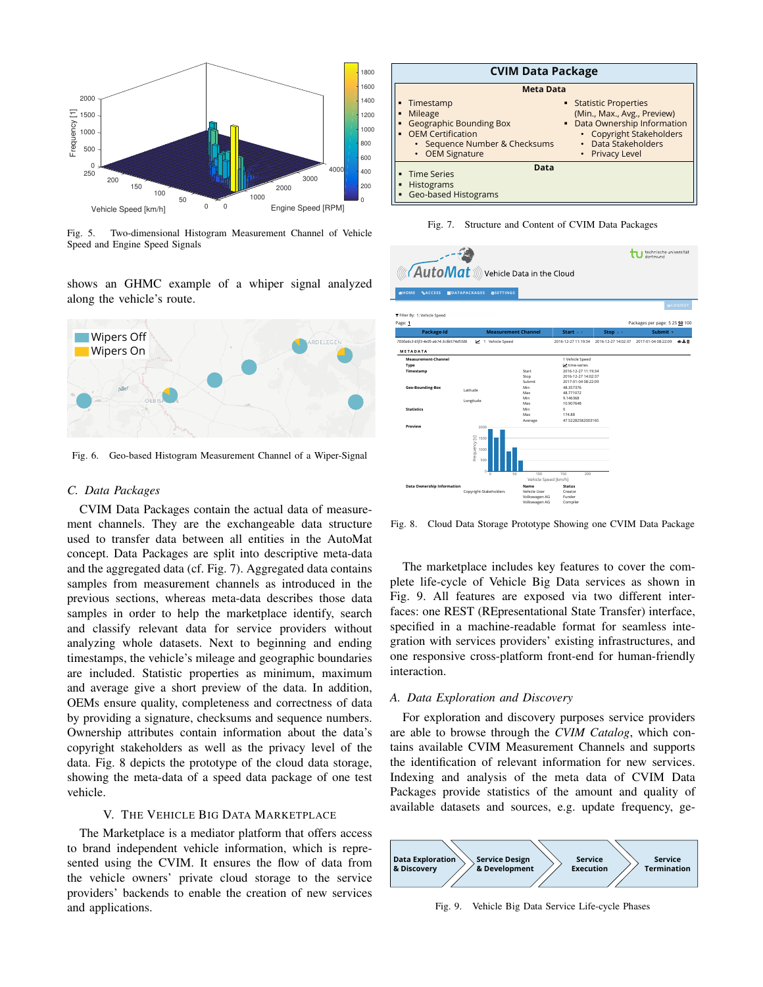

Fig. 5. Two-dimensional Histogram Measurement Channel of Vehicle Speed and Engine Speed Signals

shows an GHMC example of a whiper signal analyzed along the vehicle's route.



Fig. 6. Geo-based Histogram Measurement Channel of a Wiper-Signal

## C. Data Packages

CVIM Data Packages contain the actual data of measurement channels. They are the exchangeable data structure used to transfer data between all entities in the AutoMat concept. Data Packages are split into descriptive meta-data and the aggregated data (cf. Fig. 7). Aggregated data contains samples from measurement channels as introduced in the previous sections, whereas meta-data describes those data samples in order to help the marketplace identify, search and classify relevant data for service providers without analyzing whole datasets. Next to beginning and ending timestamps, the vehicle's mileage and geographic boundaries are included. Statistic properties as minimum, maximum and average give a short preview of the data. In addition, OEMs ensure quality, completeness and correctness of data by providing a signature, checksums and sequence numbers. Ownership attributes contain information about the data's copyright stakeholders as well as the privacy level of the data. Fig. 8 depicts the prototype of the cloud data storage, showing the meta-data of a speed data package of one test vehicle.

# V. THE VEHICLE BIG DATA MARKETPLACE

The Marketplace is a mediator platform that offers access to brand independent vehicle information, which is represented using the CVIM. It ensures the flow of data from the vehicle owners' private cloud storage to the service providers' backends to enable the creation of new services and applications.

| <b>CVIM Data Package</b>                                                                                                               |                                                                                                                                                             |  |  |  |  |  |  |
|----------------------------------------------------------------------------------------------------------------------------------------|-------------------------------------------------------------------------------------------------------------------------------------------------------------|--|--|--|--|--|--|
| <b>Meta Data</b>                                                                                                                       |                                                                                                                                                             |  |  |  |  |  |  |
| Timestamp<br>Mileage<br><b>Geographic Bounding Box</b><br><b>OEM Certification</b><br>• Sequence Number & Checksums<br>• OEM Signature | ■ Statistic Properties<br>(Min., Max., Avg., Preview)<br>• Data Ownership Information<br>• Copyright Stakeholders<br>• Data Stakeholders<br>• Privacy Level |  |  |  |  |  |  |
| Data<br>• Time Series<br>Histograms<br><b>Geo-based Histograms</b>                                                                     |                                                                                                                                                             |  |  |  |  |  |  |

Fig. 7. Structure and Content of CVIM Data Packages

| $\sqrt{\text{AutoMat}}$ ))) Vehicle Data in the Cloud<br><b>SHOME</b><br><b>SACCESS</b> | <b>NDATAPACKAGES</b><br><b>OSETTINGS</b>               |                                                |                                                                   |                                  | technische universität<br>dortmund |                 |
|-----------------------------------------------------------------------------------------|--------------------------------------------------------|------------------------------------------------|-------------------------------------------------------------------|----------------------------------|------------------------------------|-----------------|
|                                                                                         |                                                        |                                                |                                                                   |                                  |                                    | <b>GALOGOUT</b> |
| T Filter By: 1: Vehicle Speed<br>Page: 1                                                |                                                        |                                                |                                                                   |                                  | Packages per page: 5 25 50 100     |                 |
| Package-Id                                                                              | <b>Measurement Channel</b>                             |                                                | Start $+$ $+$                                                     | Stop $\triangle$ $\triangledown$ | Submit v                           |                 |
| 7030a6c3-65f3-4e05-ab14-3c9b574d5506                                                    | 1 Vehicle Speed                                        |                                                | 2016-12-27 11:19:34                                               | 2016-12-27 14:02:37              | 2017-01-04 08:22:09                | の上自             |
| METADATA                                                                                |                                                        |                                                |                                                                   |                                  |                                    |                 |
| Measurement-Channel<br>Type                                                             |                                                        |                                                | 1 Vehicle Speed<br>time-series                                    |                                  |                                    |                 |
| Timestamp                                                                               |                                                        | Start<br>Stop<br>Suhmit                        | 2016-12-27 11:19:34<br>2016-12-27 14:02:37<br>2017-01-04 08:22:09 |                                  |                                    |                 |
| Geo-Bounding-Box                                                                        | Latitude                                               | Min<br>Max                                     | 48 357376<br>48 771072                                            |                                  |                                    |                 |
|                                                                                         | Longitude                                              | Min<br>Max                                     | 9 146368<br>10.907648                                             |                                  |                                    |                 |
| <b>Statistics</b>                                                                       |                                                        | Min<br>Max<br>Average                          | o<br>174.88<br>47.52282582003165                                  |                                  |                                    |                 |
| Preview                                                                                 | 2000<br>Frequency[s]<br>1500<br>1000<br>500<br>$\circ$ |                                                |                                                                   |                                  |                                    |                 |
| <b>Data Ownership Information</b>                                                       | 50<br>$\Omega$                                         | 100<br>Vehicle Speed [km/h]<br>Name            | 150<br>200<br><b>Status</b>                                       |                                  |                                    |                 |
|                                                                                         | Copyright-Stakeholders                                 | Vehicle User<br>Volkswagen AG<br>Volkswagen AG | Creator<br>Funder<br>Compiler                                     |                                  |                                    |                 |

Fig. 8. Cloud Data Storage Prototype Showing one CVIM Data Package

The marketplace includes key features to cover the complete life-cycle of Vehicle Big Data services as shown in Fig. 9. All features are exposed via two different interfaces: one REST (REpresentational State Transfer) interface, specified in a machine-readable format for seamless integration with services providers' existing infrastructures, and one responsive cross-platform front-end for human-friendly interaction.

#### A. Data Exploration and Discovery

For exploration and discovery purposes service providers are able to browse through the CVIM Catalog, which contains available CVIM Measurement Channels and supports the identification of relevant information for new services. Indexing and analysis of the meta data of CVIM Data Packages provide statistics of the amount and quality of available datasets and sources, e.g. update frequency, ge-



Fig. 9. Vehicle Big Data Service Life-cycle Phases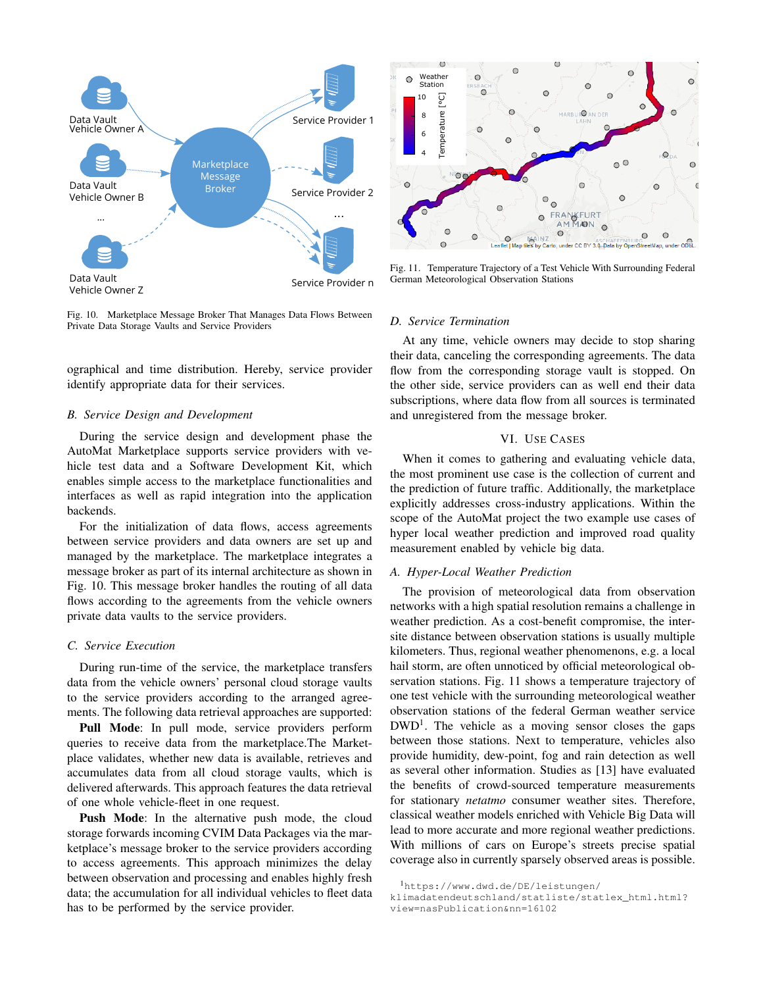

Fig. 10. Marketplace Message Broker That Manages Data Flows Between Private Data Storage Vaults and Service Providers

ographical and time distribution. Hereby, service provider identify appropriate data for their services.

## **B.** Service Design and Development

During the service design and development phase the AutoMat Marketplace supports service providers with vehicle test data and a Software Development Kit, which enables simple access to the marketplace functionalities and interfaces as well as rapid integration into the application backends.

For the initialization of data flows, access agreements between service providers and data owners are set up and managed by the marketplace. The marketplace integrates a message broker as part of its internal architecture as shown in Fig. 10. This message broker handles the routing of all data flows according to the agreements from the vehicle owners private data vaults to the service providers.

## C. Service Execution

During run-time of the service, the marketplace transfers data from the vehicle owners' personal cloud storage vaults to the service providers according to the arranged agreements. The following data retrieval approaches are supported:

Pull Mode: In pull mode, service providers perform queries to receive data from the marketplace. The Marketplace validates, whether new data is available, retrieves and accumulates data from all cloud storage vaults, which is delivered afterwards. This approach features the data retrieval of one whole vehicle-fleet in one request.

**Push Mode:** In the alternative push mode, the cloud storage forwards incoming CVIM Data Packages via the marketplace's message broker to the service providers according to access agreements. This approach minimizes the delay between observation and processing and enables highly fresh data; the accumulation for all individual vehicles to fleet data has to be performed by the service provider.



Fig. 11. Temperature Trajectory of a Test Vehicle With Surrounding Federal German Meteorological Observation Stations

#### D. Service Termination

At any time, vehicle owners may decide to stop sharing their data, canceling the corresponding agreements. The data flow from the corresponding storage vault is stopped. On the other side, service providers can as well end their data subscriptions, where data flow from all sources is terminated and unregistered from the message broker.

# VI. USE CASES

When it comes to gathering and evaluating vehicle data, the most prominent use case is the collection of current and the prediction of future traffic. Additionally, the marketplace explicitly addresses cross-industry applications. Within the scope of the AutoMat project the two example use cases of hyper local weather prediction and improved road quality measurement enabled by vehicle big data.

#### A. Hyper-Local Weather Prediction

The provision of meteorological data from observation networks with a high spatial resolution remains a challenge in weather prediction. As a cost-benefit compromise, the intersite distance between observation stations is usually multiple kilometers. Thus, regional weather phenomenons, e.g. a local hail storm, are often unnoticed by official meteorological observation stations. Fig. 11 shows a temperature trajectory of one test vehicle with the surrounding meteorological weather observation stations of the federal German weather service  $DWD<sup>1</sup>$ . The vehicle as a moving sensor closes the gaps between those stations. Next to temperature, vehicles also provide humidity, dew-point, fog and rain detection as well as several other information. Studies as [13] have evaluated the benefits of crowd-sourced temperature measurements for stationary netatmo consumer weather sites. Therefore, classical weather models enriched with Vehicle Big Data will lead to more accurate and more regional weather predictions. With millions of cars on Europe's streets precise spatial coverage also in currently sparsely observed areas is possible.

<sup>&</sup>lt;sup>1</sup>https://www.dwd.de/DE/leistungen/

klimadatendeutschland/statliste/statlex\_html.html?

view=nasPublication&nn=16102